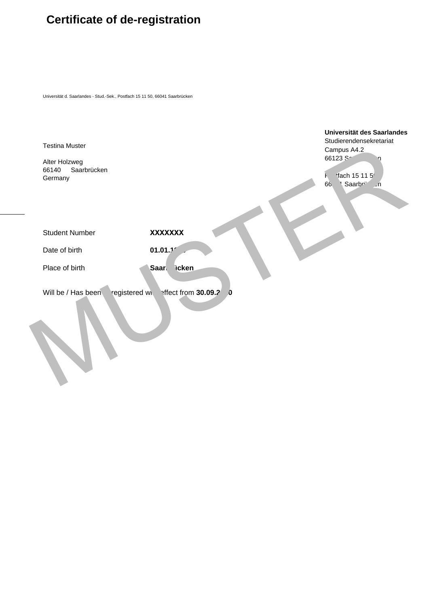## **Certificate of de-registration**

Universität d. Saarlandes - Stud.-Sek., Postfach 15 11 50, 66041 Saarbrücken

Testina Muster

Alter Holzweg 66140 Saarbrücken **Germany** 

**Universität des Saarlandes** Studierendensekretariat Campus A4.2 66123 Sa  $H$  fach 15 11 5 66 1 Saarbrücken Testina Muster<br>
Alter Holzweg<br>
Oermany<br>
Gental Saatbrücken<br>
Gental Saatbrücken<br>
Student Number<br>
Place of birth<br>
Mill be / Has been registered with effect from **30.09.2**<br>
Muster Alter the Muster of Muster from **30.09.2**<br>
Mu

Student Number

**XXXXXXX** 

Date of birth

Place of birth

01.01.1<sup>r</sup> Saarl icken